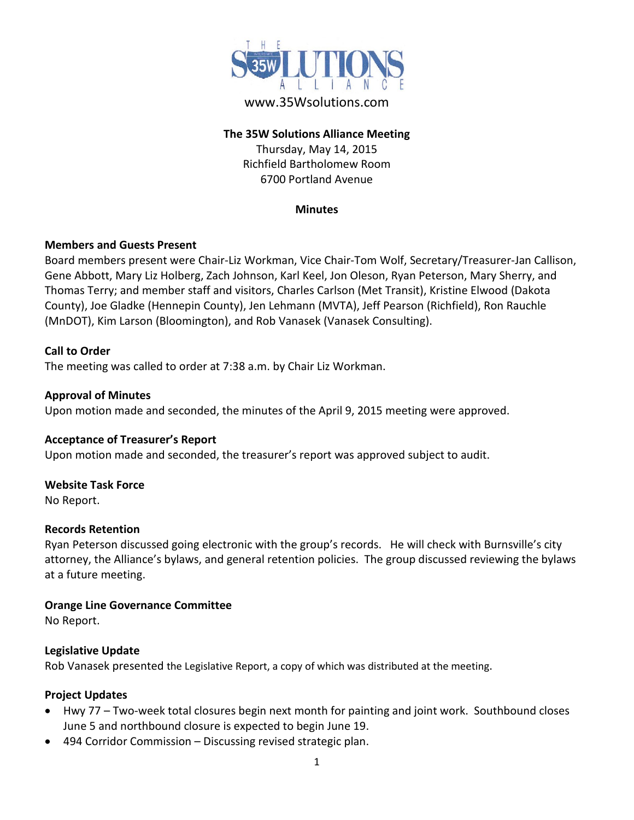

# www.35Wsolutions.com

## **The 35W Solutions Alliance Meeting**

Thursday, May 14, 2015 Richfield Bartholomew Room 6700 Portland Avenue

#### **Minutes**

### **Members and Guests Present**

Board members present were Chair-Liz Workman, Vice Chair-Tom Wolf, Secretary/Treasurer-Jan Callison, Gene Abbott, Mary Liz Holberg, Zach Johnson, Karl Keel, Jon Oleson, Ryan Peterson, Mary Sherry, and Thomas Terry; and member staff and visitors, Charles Carlson (Met Transit), Kristine Elwood (Dakota County), Joe Gladke (Hennepin County), Jen Lehmann (MVTA), Jeff Pearson (Richfield), Ron Rauchle (MnDOT), Kim Larson (Bloomington), and Rob Vanasek (Vanasek Consulting).

## **Call to Order**

The meeting was called to order at 7:38 a.m. by Chair Liz Workman.

### **Approval of Minutes**

Upon motion made and seconded, the minutes of the April 9, 2015 meeting were approved.

### **Acceptance of Treasurer's Report**

Upon motion made and seconded, the treasurer's report was approved subject to audit.

### **Website Task Force**

No Report.

### **Records Retention**

Ryan Peterson discussed going electronic with the group's records. He will check with Burnsville's city attorney, the Alliance's bylaws, and general retention policies. The group discussed reviewing the bylaws at a future meeting.

### **Orange Line Governance Committee**

No Report.

### **Legislative Update**

Rob Vanasek presented the Legislative Report, a copy of which was distributed at the meeting.

### **Project Updates**

- Hwy 77 Two-week total closures begin next month for painting and joint work. Southbound closes June 5 and northbound closure is expected to begin June 19.
- 494 Corridor Commission Discussing revised strategic plan.